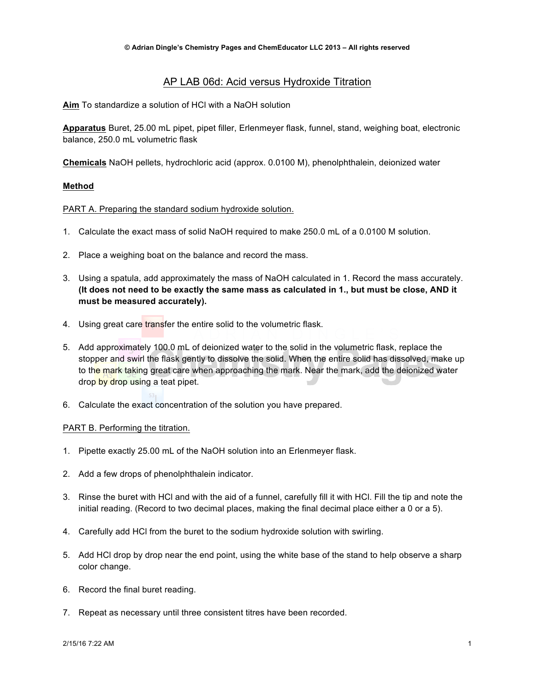# AP LAB 06d: Acid versus Hydroxide Titration

**Aim** To standardize a solution of HCl with a NaOH solution

**Apparatus** Buret, 25.00 mL pipet, pipet filler, Erlenmeyer flask, funnel, stand, weighing boat, electronic balance, 250.0 mL volumetric flask

**Chemicals** NaOH pellets, hydrochloric acid (approx. 0.0100 M), phenolphthalein, deionized water

### **Method**

### PART A. Preparing the standard sodium hydroxide solution.

- 1. Calculate the exact mass of solid NaOH required to make 250.0 mL of a 0.0100 M solution.
- 2. Place a weighing boat on the balance and record the mass.
- 3. Using a spatula, add approximately the mass of NaOH calculated in 1. Record the mass accurately. **(It does not need to be exactly the same mass as calculated in 1., but must be close, AND it must be measured accurately).**
- 4. Using great care transfer the entire solid to the volumetric flask.
- 5. Add approximately 100.0 mL of deionized water to the solid in the volumetric flask, replace the stopper and swirl the flask gently to dissolve the solid. When the entire solid has dissolved, make up to the mark taking great care when approaching the mark. Near the mark, add the deionized water drop by drop using a teat pipet.
- 6. Calculate the exact concentration of the solution you have prepared.

#### PART B. Performing the titration.

- 1. Pipette exactly 25.00 mL of the NaOH solution into an Erlenmeyer flask.
- 2. Add a few drops of phenolphthalein indicator.
- 3. Rinse the buret with HCl and with the aid of a funnel, carefully fill it with HCl. Fill the tip and note the initial reading. (Record to two decimal places, making the final decimal place either a 0 or a 5).
- 4. Carefully add HCl from the buret to the sodium hydroxide solution with swirling.
- 5. Add HCl drop by drop near the end point, using the white base of the stand to help observe a sharp color change.
- 6. Record the final buret reading.
- 7. Repeat as necessary until three consistent titres have been recorded.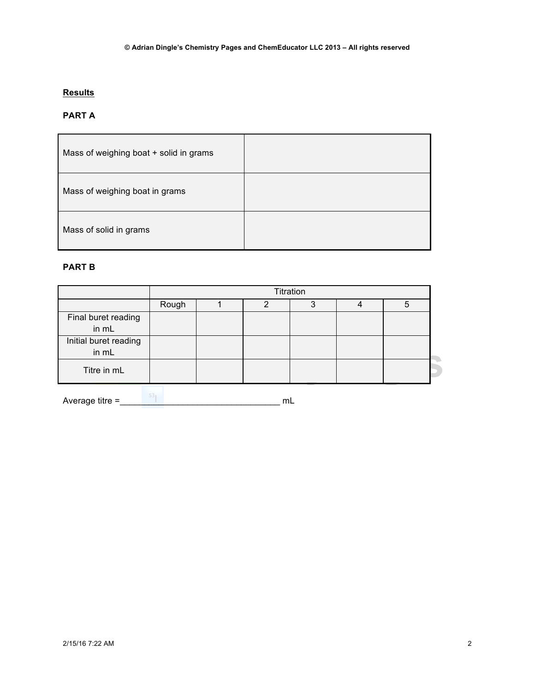# **Results**

# **PART A**

| Mass of weighing boat + solid in grams |  |
|----------------------------------------|--|
| Mass of weighing boat in grams         |  |
| Mass of solid in grams                 |  |

## **PART B**

|                                | Titration |  |   |  |  |  |  |
|--------------------------------|-----------|--|---|--|--|--|--|
|                                | Rough     |  | n |  |  |  |  |
| Final buret reading<br>in mL   |           |  |   |  |  |  |  |
| Initial buret reading<br>in mL |           |  |   |  |  |  |  |
| Titre in mL                    |           |  |   |  |  |  |  |

Average titre =\_\_\_\_\_\_\_\_\_\_\_\_\_\_\_\_\_\_\_\_\_\_\_\_\_\_\_\_\_\_\_\_\_ mL